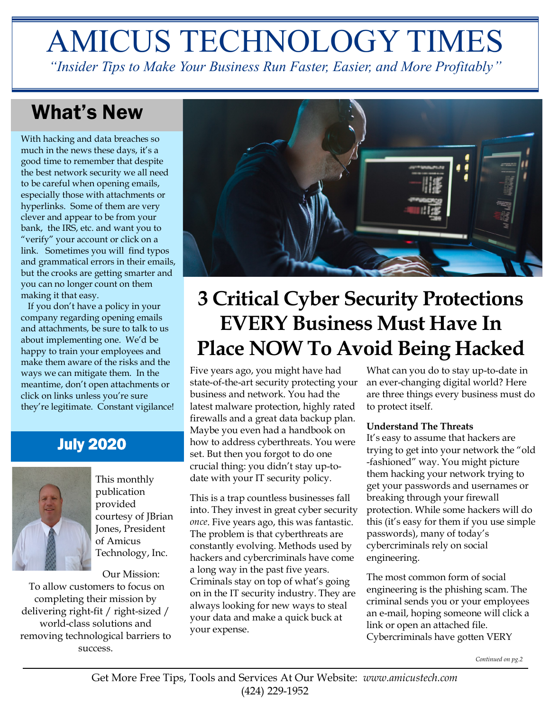# AMICUS TECHNOLOGY TIMES

*"Insider Tips to Make Your Business Run Faster, Easier, and More Profitably"*

### What's New

With hacking and data breaches so much in the news these days, it's a good time to remember that despite the best network security we all need to be careful when opening emails, especially those with attachments or hyperlinks. Some of them are very clever and appear to be from your bank, the IRS, etc. and want you to "verify" your account or click on a link. Sometimes you will find typos and grammatical errors in their emails, but the crooks are getting smarter and you can no longer count on them making it that easy.

 If you don't have a policy in your company regarding opening emails and attachments, be sure to talk to us about implementing one. We'd be happy to train your employees and make them aware of the risks and the ways we can mitigate them. In the meantime, don't open attachments or click on links unless you're sure they're legitimate. Constant vigilance!

### July 2020



This monthly publication provided courtesy of JBrian Jones, President of Amicus Technology, Inc.

Our Mission: To allow customers to focus on completing their mission by delivering right-fit / right-sized / world-class solutions and removing technological barriers to success.



# **3 Critical Cyber Security Protections EVERY Business Must Have In Place NOW To Avoid Being Hacked**

Five years ago, you might have had state-of-the-art security protecting your business and network. You had the latest malware protection, highly rated firewalls and a great data backup plan. Maybe you even had a handbook on how to address cyberthreats. You were set. But then you forgot to do one crucial thing: you didn't stay up-todate with your IT security policy.

This is a trap countless businesses fall into. They invest in great cyber security *once*. Five years ago, this was fantastic. The problem is that cyberthreats are constantly evolving. Methods used by hackers and cybercriminals have come a long way in the past five years. Criminals stay on top of what's going on in the IT security industry. They are always looking for new ways to steal your data and make a quick buck at your expense.

What can you do to stay up-to-date in an ever-changing digital world? Here are three things every business must do to protect itself.

### **Understand The Threats**

It's easy to assume that hackers are trying to get into your network the "old -fashioned" way. You might picture them hacking your network trying to get your passwords and usernames or breaking through your firewall protection. While some hackers will do this (it's easy for them if you use simple passwords), many of today's cybercriminals rely on social engineering.

The most common form of social engineering is the phishing scam. The criminal sends you or your employees an e-mail, hoping someone will click a link or open an attached file. Cybercriminals have gotten VERY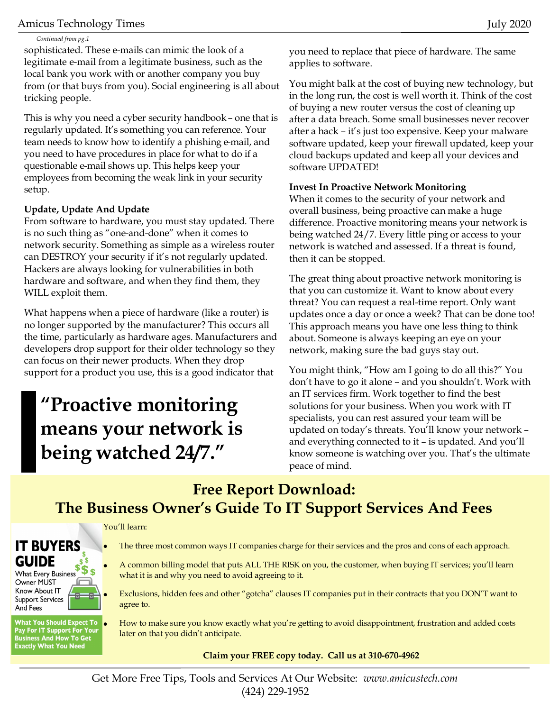### Amicus Technology Times July 2020

#### *Continued from pg.1*

sophisticated. These e-mails can mimic the look of a legitimate e-mail from a legitimate business, such as the local bank you work with or another company you buy from (or that buys from you). Social engineering is all about tricking people.

This is why you need a cyber security handbook – one that is regularly updated. It's something you can reference. Your team needs to know how to identify a phishing e-mail, and you need to have procedures in place for what to do if a questionable e-mail shows up. This helps keep your employees from becoming the weak link in your security setup.

### **Update, Update And Update**

From software to hardware, you must stay updated. There is no such thing as "one-and-done" when it comes to network security. Something as simple as a wireless router can DESTROY your security if it's not regularly updated. Hackers are always looking for vulnerabilities in both hardware and software, and when they find them, they WILL exploit them.

What happens when a piece of hardware (like a router) is no longer supported by the manufacturer? This occurs all the time, particularly as hardware ages. Manufacturers and developers drop support for their older technology so they can focus on their newer products. When they drop support for a product you use, this is a good indicator that

## **"Proactive monitoring means your network is being watched 24/7."**

you need to replace that piece of hardware. The same applies to software.

You might balk at the cost of buying new technology, but in the long run, the cost is well worth it. Think of the cost of buying a new router versus the cost of cleaning up after a data breach. Some small businesses never recover after a hack – it's just too expensive. Keep your malware software updated, keep your firewall updated, keep your cloud backups updated and keep all your devices and software UPDATED!

### **Invest In Proactive Network Monitoring**

When it comes to the security of your network and overall business, being proactive can make a huge difference. Proactive monitoring means your network is being watched 24/7. Every little ping or access to your network is watched and assessed. If a threat is found, then it can be stopped.

The great thing about proactive network monitoring is that you can customize it. Want to know about every threat? You can request a real-time report. Only want updates once a day or once a week? That can be done too! This approach means you have one less thing to think about. Someone is always keeping an eye on your network, making sure the bad guys stay out.

You might think, "How am I going to do all this?" You don't have to go it alone – and you shouldn't. Work with an IT services firm. Work together to find the best solutions for your business. When you work with IT specialists, you can rest assured your team will be updated on today's threats. You'll know your network – and everything connected to it – is updated. And you'll know someone is watching over you. That's the ultimate peace of mind.

### **Free Report Download: The Business Owner's Guide To IT Support Services And Fees**

#### You'll learn:

### **IT BUYERS GUIDE**  $$5$

**What Every Business** Owner MUST Know About IT **Support Services** And Fees

**What You Should Expect To** Pay For IT Support For Your<br>Business And How To Get<br>Exactly What You Need

- The three most common ways IT companies charge for their services and the pros and cons of each approach.
- A common billing model that puts ALL THE RISK on you, the customer, when buying IT services; you'll learn what it is and why you need to avoid agreeing to it.
- Exclusions, hidden fees and other "gotcha" clauses IT companies put in their contracts that you DON'T want to agree to.

• How to make sure you know exactly what you're getting to avoid disappointment, frustration and added costs later on that you didn't anticipate.

### **Claim your FREE copy today. Call us at 310-670-4962**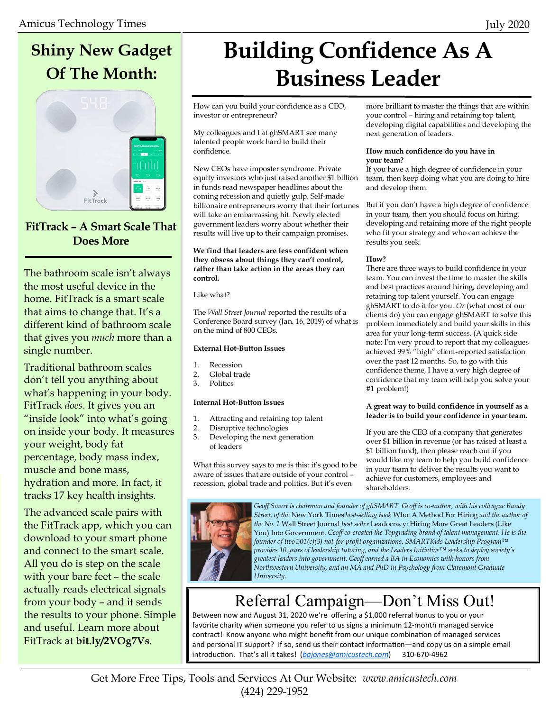### **Shiny New Gadget Of The Month:**



### **FitTrack – A Smart Scale That Does More**

The bathroom scale isn't always the most useful device in the home. FitTrack is a smart scale that aims to change that. It's a different kind of bathroom scale that gives you *much* more than a single number.

Traditional bathroom scales don't tell you anything about what's happening in your body. FitTrack *does*. It gives you an "inside look" into what's going on inside your body. It measures your weight, body fat percentage, body mass index, muscle and bone mass, hydration and more. In fact, it tracks 17 key health insights.

The advanced scale pairs with the FitTrack app, which you can download to your smart phone and connect to the smart scale. All you do is step on the scale with your bare feet – the scale actually reads electrical signals from your body – and it sends the results to your phone. Simple and useful. Learn more about FitTrack at **bit.ly/2VOg7Vs**.

# **Building Confidence As A Business Leader**

How can you build your confidence as a CEO, investor or entrepreneur?

My colleagues and I at ghSMART see many talented people work hard to build their confidence.

New CEOs have imposter syndrome. Private equity investors who just raised another \$1 billion in funds read newspaper headlines about the coming recession and quietly gulp. Self-made billionaire entrepreneurs worry that their fortunes will take an embarrassing hit. Newly elected government leaders worry about whether their results will live up to their campaign promises.

**We find that leaders are less confident when they obsess about things they can't control, rather than take action in the areas they can control.**

Like what?

The *Wall Street Journal* reported the results of a Conference Board survey (Jan. 16, 2019) of what is on the mind of 800 CEOs.

#### **External Hot-Button Issues**

- 1. Recession
- 2. Global trade
- 3. Politics

#### **Internal Hot-Button Issues**

- 1. Attracting and retaining top talent
- 2. Disruptive technologies<br>3. Developing the next ger
	- Developing the next generation of leaders

What this survey says to me is this: it's good to be aware of issues that are outside of your control – recession, global trade and politics. But it's even



#### **How much confidence do you have in your team?**

If you have a high degree of confidence in your team, then keep doing what you are doing to hire and develop them.

But if you don't have a high degree of confidence in your team, then you should focus on hiring, developing and retaining more of the right people who fit your strategy and who can achieve the results you seek.

#### **How?**

There are three ways to build confidence in your team. You can invest the time to master the skills and best practices around hiring, developing and retaining top talent yourself. You can engage ghSMART to do it for you. *Or* (what most of our clients do) you can engage ghSMART to solve this problem immediately and build your skills in this area for your long-term success. (A quick side note: I'm very proud to report that my colleagues achieved 99% "high" client-reported satisfaction over the past 12 months. So, to go with this confidence theme, I have a very high degree of confidence that my team will help you solve your #1 problem!)

#### **A great way to build confidence in yourself as a leader is to build your confidence in your team.**

If you are the CEO of a company that generates over \$1 billion in revenue (or has raised at least a \$1 billion fund), then please reach out if you would like my team to help you build confidence in your team to deliver the results you want to achieve for customers, employees and shareholders.



*Geoff Smart is chairman and founder of ghSMART. Geoff is co-author, with his colleague Randy Street, of the* New York Times *best-selling book* Who: A Method For Hiring *and the author of the No. 1* Wall Street Journal *best seller* Leadocracy: Hiring More Great Leaders (Like You) Into Government*. Geoff co-created the Topgrading brand of talent management. He is the founder of two 501(c)(3) not-for-profit organizations. SMARTKids Leadership Program™ provides 10 years of leadership tutoring, and the Leaders Initiative™ seeks to deploy society's greatest leaders into government. Geoff earned a BA in Economics with honors from Northwestern University, and an MA and PhD in Psychology from Claremont Graduate University.*

### Referral Campaign—Don't Miss Out!

Between now and August 31, 2020 we're offering a \$1,000 referral bonus to you or your favorite charity when someone you refer to us signs a minimum 12-month managed service contract! Know anyone who might benefit from our unique combination of managed services and personal IT support? If so, send us their contact information—and copy us on a simple email introduction. That's all it takes! (*[bajones@amicustech.com](mailto:bajones@amicustech.com?subject=I%20hav%20a%20referral%20for%20you!)*) 310-670-4962